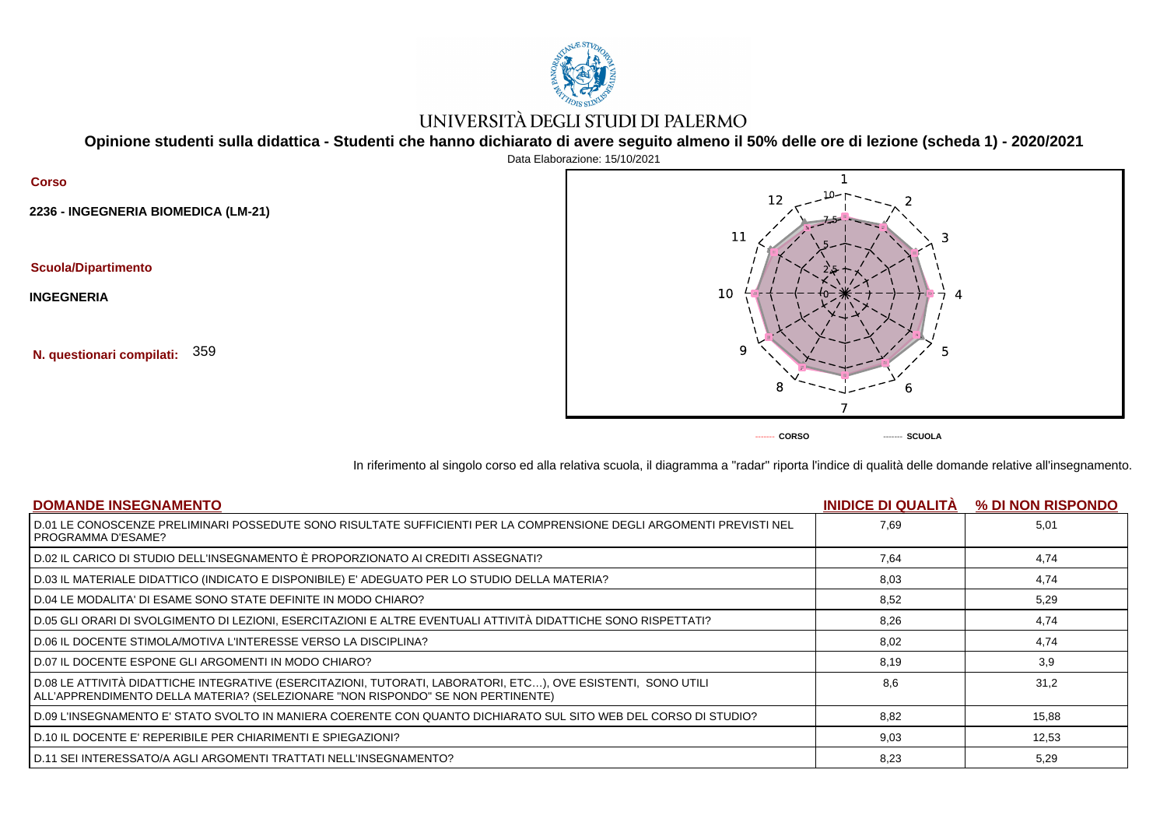

## UNIVERSITÀ DEGLI STUDI DI PALERMO

**Opinione studenti sulla didattica - Studenti che hanno dichiarato di avere seguito almeno il 50% delle ore di lezione (scheda 1) - 2020/2021**

## **Corso 2236 - INGEGNERIA BIOMEDICA (LM-21) Scuola/Dipartimento INGEGNERIA N. questionari compilati:** 359



In riferimento al singolo corso ed alla relativa scuola, il diagramma a "radar" riporta l'indice di qualità delle domande relative all'insegnamento.

| <b>DOMANDE INSEGNAMENTO</b>                                                                                                                                                                      | <b>INIDICE DI QUALITÀ</b> | % DI NON RISPONDO |
|--------------------------------------------------------------------------------------------------------------------------------------------------------------------------------------------------|---------------------------|-------------------|
| D.01 LE CONOSCENZE PRELIMINARI POSSEDUTE SONO RISULTATE SUFFICIENTI PER LA COMPRENSIONE DEGLI ARGOMENTI PREVISTI NEL<br>PROGRAMMA D'ESAME?                                                       | 7,69                      | 5,01              |
| D.02 IL CARICO DI STUDIO DELL'INSEGNAMENTO È PROPORZIONATO AI CREDITI ASSEGNATI?                                                                                                                 | 7,64                      | 4,74              |
| D.03 IL MATERIALE DIDATTICO (INDICATO E DISPONIBILE) E' ADEGUATO PER LO STUDIO DELLA MATERIA?                                                                                                    | 8,03                      | 4,74              |
| D.04 LE MODALITA' DI ESAME SONO STATE DEFINITE IN MODO CHIARO?                                                                                                                                   | 8,52                      | 5,29              |
| D.05 GLI ORARI DI SVOLGIMENTO DI LEZIONI, ESERCITAZIONI E ALTRE EVENTUALI ATTIVITÀ DIDATTICHE SONO RISPETTATI?                                                                                   | 8,26                      | 4,74              |
| D.06 IL DOCENTE STIMOLA/MOTIVA L'INTERESSE VERSO LA DISCIPLINA?                                                                                                                                  | 8.02                      | 4,74              |
| D.07 IL DOCENTE ESPONE GLI ARGOMENTI IN MODO CHIARO?                                                                                                                                             | 8,19                      | 3,9               |
| D.08 LE ATTIVITÀ DIDATTICHE INTEGRATIVE (ESERCITAZIONI, TUTORATI, LABORATORI, ETC), OVE ESISTENTI, SONO UTILI<br>ALL'APPRENDIMENTO DELLA MATERIA? (SELEZIONARE "NON RISPONDO" SE NON PERTINENTE) | 8.6                       | 31.2              |
| D.09 L'INSEGNAMENTO E' STATO SVOLTO IN MANIERA COERENTE CON QUANTO DICHIARATO SUL SITO WEB DEL CORSO DI STUDIO?                                                                                  | 8.82                      | 15,88             |
| D.10 IL DOCENTE E' REPERIBILE PER CHIARIMENTI E SPIEGAZIONI?                                                                                                                                     | 9,03                      | 12,53             |
| D.11 SEI INTERESSATO/A AGLI ARGOMENTI TRATTATI NELL'INSEGNAMENTO?                                                                                                                                | 8,23                      | 5.29              |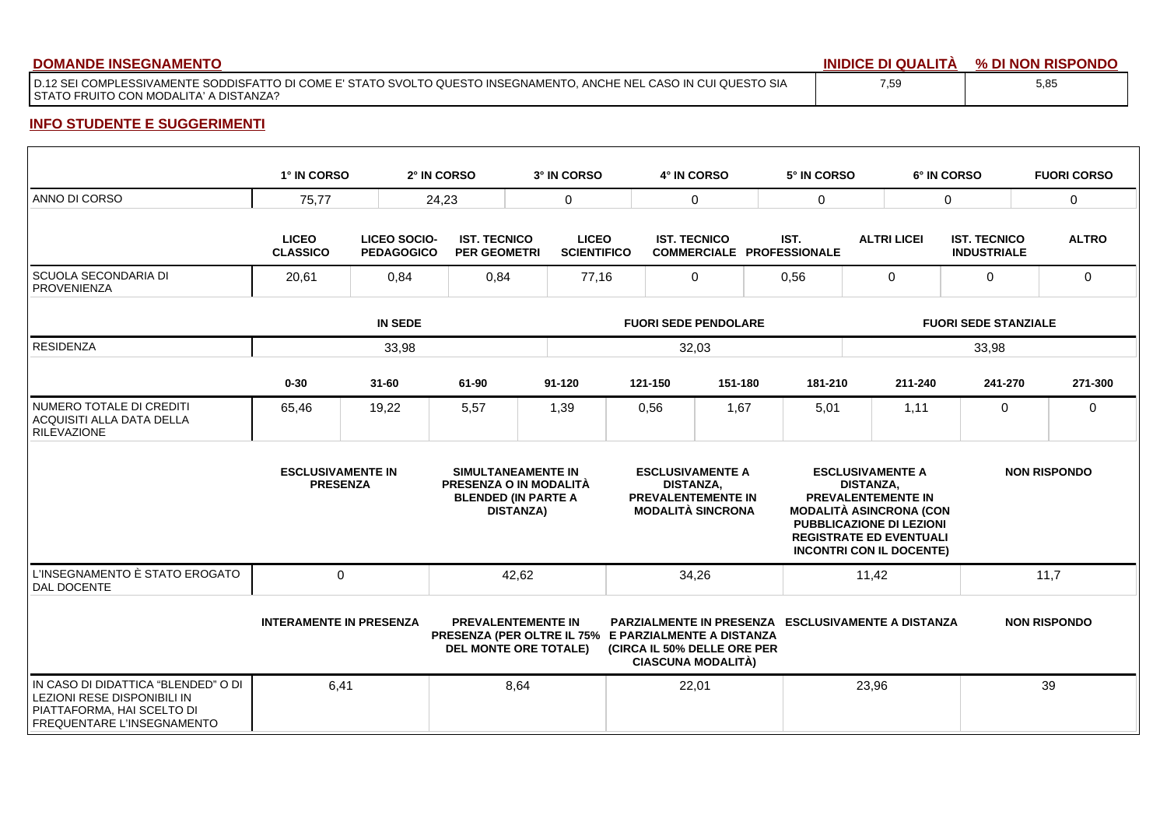| <b>DOMANDE INSEGNAMENTO</b>                                                                                                                                     | <b>INIDICE</b><br>∶ DI QUALITA | % DI NON RISPONDO |
|-----------------------------------------------------------------------------------------------------------------------------------------------------------------|--------------------------------|-------------------|
| I D.12 SEI COMPLESSIVAMENTE SODDISFATTO DI COME E' STATO SVOLTO QUESTO INSEGNAMENTO. ANCHE NEL CASO IN CUI QUESTO SIA<br>STATO FRUITO CON MODALITA' A DISTANZA? | 7,59                           | 5,85              |

## **INFO STUDENTE E SUGGERIMENTI**

|                                                                                                                                | 1° IN CORSO                                 |                                          | 2° IN CORSO                                | 3° IN CORSO                                                                                    |                                                                                                                                                                        | 4° IN CORSO         |                                                                                                                                                                                               | 5° IN CORSO |                    | 6° IN CORSO                               | <b>FUORI CORSO</b> |  |
|--------------------------------------------------------------------------------------------------------------------------------|---------------------------------------------|------------------------------------------|--------------------------------------------|------------------------------------------------------------------------------------------------|------------------------------------------------------------------------------------------------------------------------------------------------------------------------|---------------------|-----------------------------------------------------------------------------------------------------------------------------------------------------------------------------------------------|-------------|--------------------|-------------------------------------------|--------------------|--|
| ANNO DI CORSO                                                                                                                  | 75.77                                       |                                          | 24,23                                      | $\mathbf 0$                                                                                    |                                                                                                                                                                        | $\Omega$            |                                                                                                                                                                                               | $\mathbf 0$ |                    | $\mathbf 0$                               | $\mathbf 0$        |  |
|                                                                                                                                | <b>LICEO</b><br><b>CLASSICO</b>             | <b>LICEO SOCIO-</b><br><b>PEDAGOGICO</b> | <b>IST. TECNICO</b><br><b>PER GEOMETRI</b> |                                                                                                | <b>LICEO</b><br><b>SCIENTIFICO</b>                                                                                                                                     | <b>IST. TECNICO</b> | <b>COMMERCIALE PROFESSIONALE</b>                                                                                                                                                              | IST.        | <b>ALTRI LICEI</b> | <b>IST. TECNICO</b><br><b>INDUSTRIALE</b> | <b>ALTRO</b>       |  |
| SCUOLA SECONDARIA DI<br><b>PROVENIENZA</b>                                                                                     | 20,61                                       | 0,84                                     |                                            | 0,84                                                                                           | 77,16<br>0                                                                                                                                                             |                     |                                                                                                                                                                                               | 0,56        | 0                  | 0                                         | $\mathbf 0$        |  |
|                                                                                                                                |                                             | <b>IN SEDE</b>                           |                                            |                                                                                                |                                                                                                                                                                        |                     | <b>FUORI SEDE PENDOLARE</b>                                                                                                                                                                   |             |                    | <b>FUORI SEDE STANZIALE</b>               |                    |  |
| <b>RESIDENZA</b>                                                                                                               |                                             | 33,98                                    |                                            |                                                                                                |                                                                                                                                                                        | 32,03               |                                                                                                                                                                                               |             | 33,98              |                                           |                    |  |
|                                                                                                                                | $0 - 30$                                    | $31 - 60$                                | 61-90                                      | $91 - 120$                                                                                     |                                                                                                                                                                        | 121-150             | 151-180                                                                                                                                                                                       | 181-210     | 211-240            | 241-270                                   | 271-300            |  |
| NUMERO TOTALE DI CREDITI<br>ACQUISITI ALLA DATA DELLA<br><b>RILEVAZIONE</b>                                                    | 65,46                                       | 19,22                                    | 5,57                                       | 1,39                                                                                           |                                                                                                                                                                        | 0,56                | 1,67                                                                                                                                                                                          | 5,01        | 1,11               | $\mathbf 0$                               | $\mathbf 0$        |  |
|                                                                                                                                | <b>ESCLUSIVAMENTE IN</b><br><b>PRESENZA</b> |                                          |                                            | SIMULTANEAMENTE IN<br>PRESENZA O IN MODALITÀ<br><b>BLENDED (IN PARTE A</b><br><b>DISTANZA)</b> | <b>ESCLUSIVAMENTE A</b><br>DISTANZA,<br><b>PREVALENTEMENTE IN</b><br><b>MODALITÀ SINCRONA</b>                                                                          |                     | <b>ESCLUSIVAMENTE A</b><br>DISTANZA,<br>PREVALENTEMENTE IN<br><b>MODALITÀ ASINCRONA (CON</b><br>PUBBLICAZIONE DI LEZIONI<br><b>REGISTRATE ED EVENTUALI</b><br><b>INCONTRI CON IL DOCENTE)</b> |             |                    | <b>NON RISPONDO</b>                       |                    |  |
| L'INSEGNAMENTO È STATO EROGATO<br>DAL DOCENTE                                                                                  | $\Omega$                                    |                                          |                                            | 42,62                                                                                          |                                                                                                                                                                        | 34,26               |                                                                                                                                                                                               | 11,42       |                    |                                           | 11,7               |  |
|                                                                                                                                | <b>INTERAMENTE IN PRESENZA</b>              |                                          |                                            | <b>PREVALENTEMENTE IN</b><br><b>DEL MONTE ORE TOTALE)</b>                                      | PARZIALMENTE IN PRESENZA ESCLUSIVAMENTE A DISTANZA<br>PRESENZA (PER OLTRE IL 75% E PARZIALMENTE A DISTANZA<br>(CIRCA IL 50% DELLE ORE PER<br><b>CIASCUNA MODALITÀ)</b> |                     |                                                                                                                                                                                               |             |                    | <b>NON RISPONDO</b>                       |                    |  |
| IN CASO DI DIDATTICA "BLENDED" O DI<br>LEZIONI RESE DISPONIBILI IN<br>PIATTAFORMA, HAI SCELTO DI<br>FREQUENTARE L'INSEGNAMENTO | 6,41                                        |                                          |                                            | 8,64                                                                                           |                                                                                                                                                                        | 22,01               |                                                                                                                                                                                               | 23,96       |                    |                                           | 39                 |  |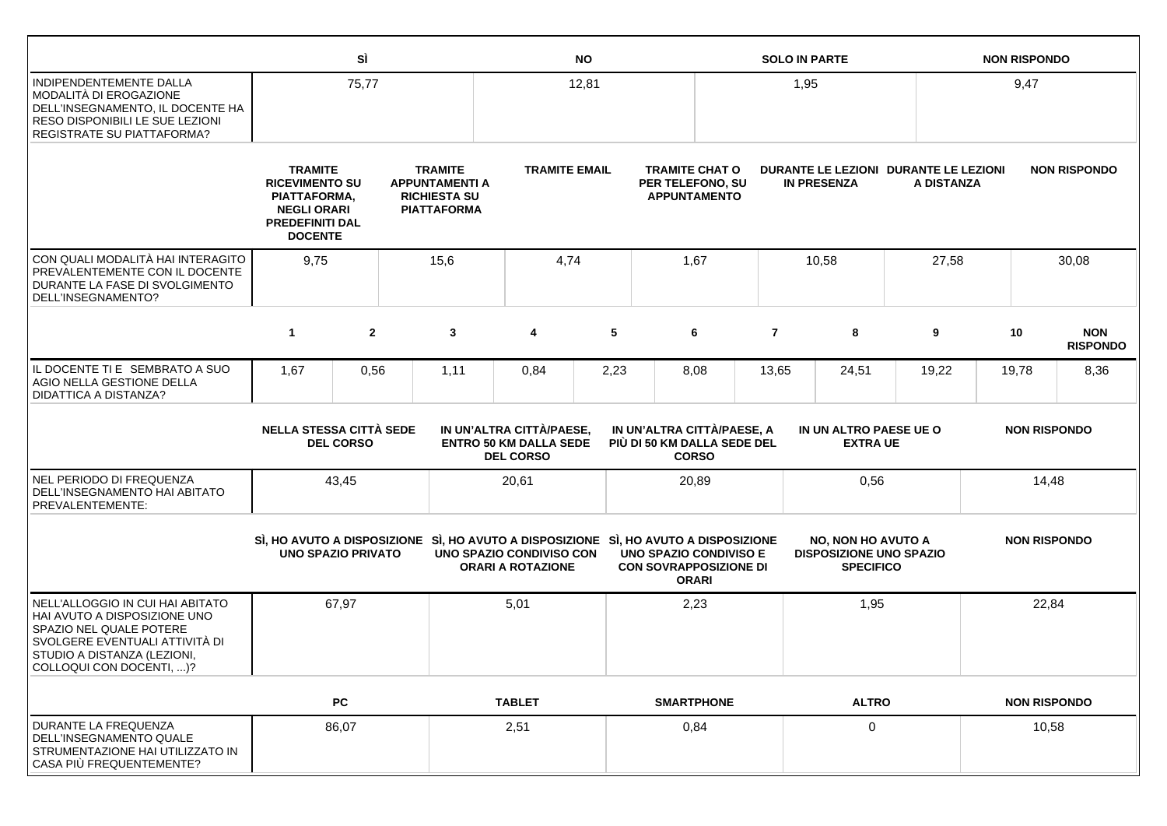|                                                                                                                                                                                          |                                                                                                                    | SÌ               |                                                                                                                 |                                                                               | <b>NO</b> |                                                           |                                                                  |                         | <b>SOLO IN PARTE</b>                                                            |            | <b>NON RISPONDO</b> |                     |                               |
|------------------------------------------------------------------------------------------------------------------------------------------------------------------------------------------|--------------------------------------------------------------------------------------------------------------------|------------------|-----------------------------------------------------------------------------------------------------------------|-------------------------------------------------------------------------------|-----------|-----------------------------------------------------------|------------------------------------------------------------------|-------------------------|---------------------------------------------------------------------------------|------------|---------------------|---------------------|-------------------------------|
| INDIPENDENTEMENTE DALLA<br>MODALITÀ DI EROGAZIONE<br>DELL'INSEGNAMENTO, IL DOCENTE HA<br><b>RESO DISPONIBILI LE SUE LEZIONI</b><br><b>REGISTRATE SU PIATTAFORMA?</b>                     |                                                                                                                    | 75,77            |                                                                                                                 |                                                                               | 12,81     |                                                           |                                                                  | 1,95                    |                                                                                 |            | 9,47                |                     |                               |
|                                                                                                                                                                                          | <b>TRAMITE</b><br><b>RICEVIMENTO SU</b><br>PIATTAFORMA,<br><b>NEGLI ORARI</b><br>PREDEFINITI DAL<br><b>DOCENTE</b> |                  | <b>TRAMITE</b><br><b>APPUNTAMENTI A</b><br><b>RICHIESTA SU</b><br><b>PIATTAFORMA</b>                            | <b>TRAMITE EMAIL</b>                                                          |           |                                                           | <b>TRAMITE CHAT O</b><br>PER TELEFONO, SU<br><b>APPUNTAMENTO</b> |                         | DURANTE LE LEZIONI DURANTE LE LEZIONI<br><b>IN PRESENZA</b>                     | A DISTANZA |                     |                     | <b>NON RISPONDO</b>           |
| CON QUALI MODALITÀ HAI INTERAGITO<br><b>PREVALENTEMENTE CON IL DOCENTE</b><br>DURANTE LA FASE DI SVOLGIMENTO<br>DELL'INSEGNAMENTO?                                                       | 9,75                                                                                                               |                  | 15,6                                                                                                            | 4,74                                                                          |           |                                                           | 1,67                                                             |                         | 10,58                                                                           | 27,58      |                     |                     | 30,08                         |
|                                                                                                                                                                                          | $\mathbf{1}$                                                                                                       | $\overline{2}$   | 3                                                                                                               | 4                                                                             | 5         |                                                           | 6                                                                | $\overline{\mathbf{r}}$ | 8                                                                               | 9          | 10                  |                     | <b>NON</b><br><b>RISPONDO</b> |
| IL DOCENTE TI E SEMBRATO A SUO<br>AGIO NELLA GESTIONE DELLA<br><b>DIDATTICA A DISTANZA?</b>                                                                                              | 1,67                                                                                                               | 0,56             | 1,11                                                                                                            | 0,84                                                                          | 2,23      |                                                           | 8,08                                                             | 13,65                   | 24,51                                                                           | 19,22      | 19,78               |                     | 8,36                          |
|                                                                                                                                                                                          | <b>NELLA STESSA CITTÀ SEDE</b>                                                                                     | <b>DEL CORSO</b> |                                                                                                                 | IN UN'ALTRA CITTÀ/PAESE,<br><b>ENTRO 50 KM DALLA SEDE</b><br><b>DEL CORSO</b> |           | IN UN'ALTRA CITTÀ/PAESE. A<br>PIÙ DI 50 KM DALLA SEDE DEL | <b>CORSO</b>                                                     |                         | IN UN ALTRO PAESE UE O<br><b>EXTRA UE</b>                                       |            |                     | <b>NON RISPONDO</b> |                               |
| NEL PERIODO DI FREQUENZA<br>DELL'INSEGNAMENTO HAI ABITATO<br>PREVALENTEMENTE:                                                                                                            |                                                                                                                    | 43,45            |                                                                                                                 | 20,61                                                                         |           |                                                           | 20,89                                                            |                         | 0,56                                                                            |            |                     | 14,48               |                               |
|                                                                                                                                                                                          | <b>UNO SPAZIO PRIVATO</b>                                                                                          |                  | SI, HO AVUTO A DISPOSIZIONE SI, HO AVUTO A DISPOSIZIONE SI, HO AVUTO A DISPOSIZIONE<br>UNO SPAZIO CONDIVISO CON | <b>ORARI A ROTAZIONE</b>                                                      |           | UNO SPAZIO CONDIVISO E<br><b>CON SOVRAPPOSIZIONE DI</b>   | <b>ORARI</b>                                                     |                         | <b>NO, NON HO AVUTO A</b><br><b>DISPOSIZIONE UNO SPAZIO</b><br><b>SPECIFICO</b> |            |                     |                     | <b>NON RISPONDO</b>           |
| NELL'ALLOGGIO IN CUI HAI ABITATO<br>HAI AVUTO A DISPOSIZIONE UNO<br>SPAZIO NEL QUALE POTERE<br>SVOLGERE EVENTUALI ATTIVITÀ DI<br>STUDIO A DISTANZA (LEZIONI,<br>COLLOQUI CON DOCENTI, )? |                                                                                                                    | 67,97            |                                                                                                                 | 5,01                                                                          |           |                                                           | 2,23                                                             |                         | 1,95                                                                            |            |                     | 22,84               |                               |
|                                                                                                                                                                                          |                                                                                                                    | PC               |                                                                                                                 | <b>TABLET</b>                                                                 |           |                                                           | <b>SMARTPHONE</b>                                                |                         | <b>ALTRO</b>                                                                    |            |                     |                     | <b>NON RISPONDO</b>           |
| DURANTE LA FREQUENZA<br>DELL'INSEGNAMENTO QUALE<br>STRUMENTAZIONE HAI UTILIZZATO IN<br>CASA PIÙ FREQUENTEMENTE?                                                                          |                                                                                                                    | 86,07            |                                                                                                                 | 2,51                                                                          |           |                                                           | 0,84                                                             |                         | 0                                                                               |            |                     | 10,58               |                               |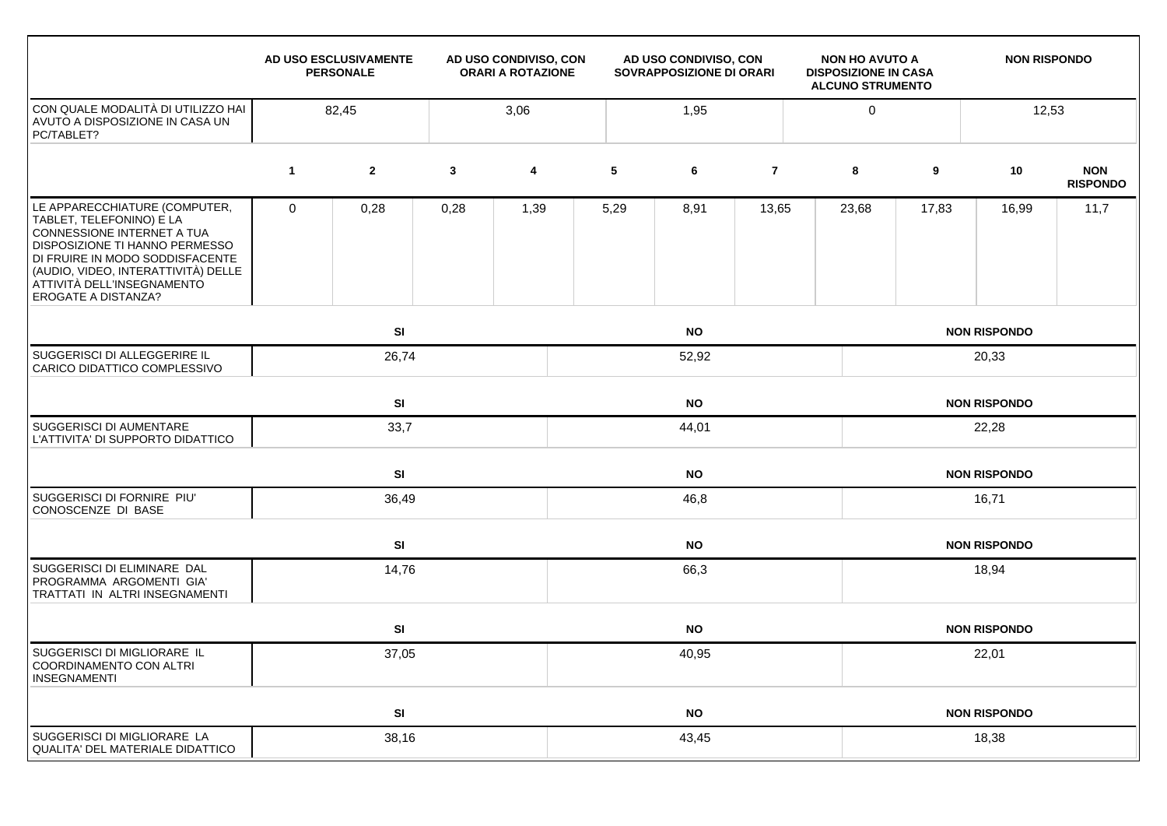|                                                                                                                                                                                                                                                                 | AD USO ESCLUSIVAMENTE<br>AD USO CONDIVISO, CON<br><b>PERSONALE</b><br><b>ORARI A ROTAZIONE</b> |                |              |                         | AD USO CONDIVISO, CON<br><b>SOVRAPPOSIZIONE DI ORARI</b> |           |                | <b>NON HO AVUTO A</b><br><b>NON RISPONDO</b><br><b>DISPOSIZIONE IN CASA</b><br><b>ALCUNO STRUMENTO</b> |       |                     |                               |  |
|-----------------------------------------------------------------------------------------------------------------------------------------------------------------------------------------------------------------------------------------------------------------|------------------------------------------------------------------------------------------------|----------------|--------------|-------------------------|----------------------------------------------------------|-----------|----------------|--------------------------------------------------------------------------------------------------------|-------|---------------------|-------------------------------|--|
| CON QUALE MODALITÀ DI UTILIZZO HAI<br>AVUTO A DISPOSIZIONE IN CASA UN<br>PC/TABLET?                                                                                                                                                                             | 3,06<br>82,45                                                                                  |                |              |                         | 1,95                                                     |           | $\mathbf 0$    | 12,53                                                                                                  |       |                     |                               |  |
|                                                                                                                                                                                                                                                                 | $\mathbf{1}$                                                                                   | $\overline{2}$ | $\mathbf{3}$ | $\overline{\mathbf{4}}$ | 5                                                        | 6         | $\overline{7}$ | 8                                                                                                      | 9     | 10                  | <b>NON</b><br><b>RISPONDO</b> |  |
| LE APPARECCHIATURE (COMPUTER,<br>TABLET, TELEFONINO) E LA<br>CONNESSIONE INTERNET A TUA<br>DISPOSIZIONE TI HANNO PERMESSO<br>DI FRUIRE IN MODO SODDISFACENTE<br>(AUDIO, VIDEO, INTERATTIVITÀ) DELLE<br>ATTIVITÀ DELL'INSEGNAMENTO<br><b>EROGATE A DISTANZA?</b> | $\mathbf 0$                                                                                    | 0,28           | 0,28         | 1,39                    | 5,29                                                     | 8,91      | 13,65          | 23,68                                                                                                  | 17,83 | 16,99               | 11,7                          |  |
|                                                                                                                                                                                                                                                                 |                                                                                                | <b>SI</b>      |              |                         |                                                          | <b>NO</b> |                |                                                                                                        |       | <b>NON RISPONDO</b> |                               |  |
| SUGGERISCI DI ALLEGGERIRE IL<br>CARICO DIDATTICO COMPLESSIVO                                                                                                                                                                                                    |                                                                                                | 26,74          |              |                         |                                                          | 52,92     |                |                                                                                                        | 20,33 |                     |                               |  |
|                                                                                                                                                                                                                                                                 |                                                                                                | SI             |              |                         |                                                          | <b>NO</b> |                |                                                                                                        |       | <b>NON RISPONDO</b> |                               |  |
| SUGGERISCI DI AUMENTARE<br>L'ATTIVITA' DI SUPPORTO DIDATTICO                                                                                                                                                                                                    |                                                                                                | 33,7           |              |                         | 44,01                                                    |           |                |                                                                                                        | 22,28 |                     |                               |  |
|                                                                                                                                                                                                                                                                 |                                                                                                | <b>SI</b>      |              |                         |                                                          | <b>NO</b> |                |                                                                                                        |       | <b>NON RISPONDO</b> |                               |  |
| SUGGERISCI DI FORNIRE PIU'<br>CONOSCENZE DI BASE                                                                                                                                                                                                                |                                                                                                | 36,49          |              |                         |                                                          | 46,8      |                |                                                                                                        | 16,71 |                     |                               |  |
|                                                                                                                                                                                                                                                                 |                                                                                                | SI             |              |                         |                                                          | <b>NO</b> |                |                                                                                                        |       | <b>NON RISPONDO</b> |                               |  |
| SUGGERISCI DI ELIMINARE DAL<br>PROGRAMMA ARGOMENTI GIA'<br>TRATTATI IN ALTRI INSEGNAMENTI                                                                                                                                                                       |                                                                                                | 14,76          |              |                         |                                                          | 66,3      |                |                                                                                                        | 18,94 |                     |                               |  |
|                                                                                                                                                                                                                                                                 |                                                                                                | SI             |              |                         |                                                          | <b>NO</b> |                |                                                                                                        |       | <b>NON RISPONDO</b> |                               |  |
| SUGGERISCI DI MIGLIORARE IL<br>COORDINAMENTO CON ALTRI<br><b>INSEGNAMENTI</b>                                                                                                                                                                                   |                                                                                                | 37,05          |              |                         |                                                          | 40,95     |                |                                                                                                        |       | 22,01               |                               |  |
|                                                                                                                                                                                                                                                                 |                                                                                                | SI             |              |                         |                                                          | <b>NO</b> |                |                                                                                                        |       | <b>NON RISPONDO</b> |                               |  |
| SUGGERISCI DI MIGLIORARE LA<br><b>QUALITA' DEL MATERIALE DIDATTICO</b>                                                                                                                                                                                          |                                                                                                | 38,16          |              |                         | 43,45                                                    |           |                |                                                                                                        | 18,38 |                     |                               |  |